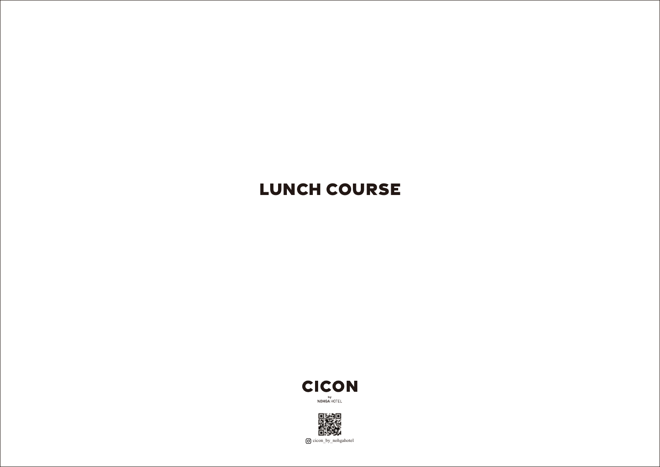## **LUNCH COURSE**





cicon\_by\_nohgahotel